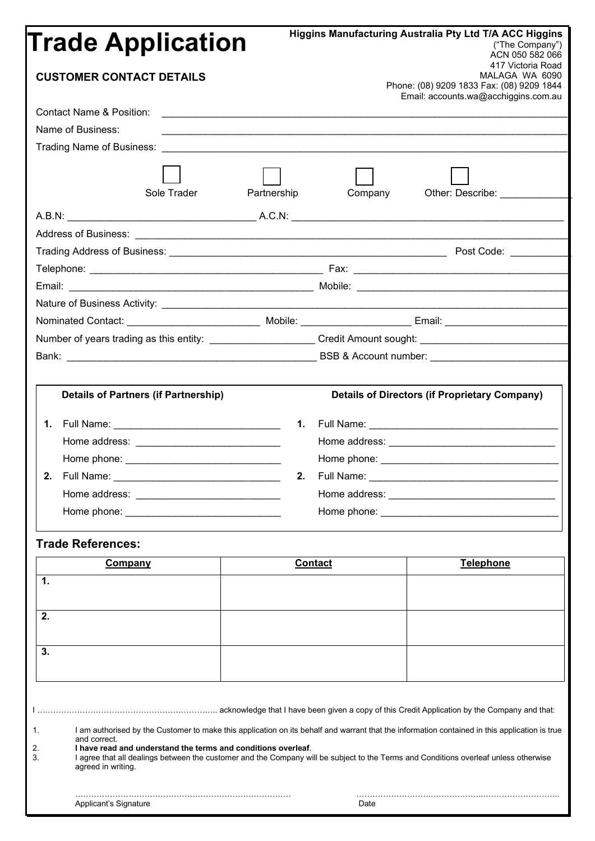# **Trade Application**

**Higgins Manufacturing Australia Pty Ltd T/A ACC Higgins**

|             |                                                                         | ("The Company")<br>ACN 050 582 066                                                                                                                                                                                                                                                                                                                                                                                                                                                                                                                                                                                                                                                                                                                                                                                                  |
|-------------|-------------------------------------------------------------------------|-------------------------------------------------------------------------------------------------------------------------------------------------------------------------------------------------------------------------------------------------------------------------------------------------------------------------------------------------------------------------------------------------------------------------------------------------------------------------------------------------------------------------------------------------------------------------------------------------------------------------------------------------------------------------------------------------------------------------------------------------------------------------------------------------------------------------------------|
|             |                                                                         | 417 Victoria Road<br>MALAGA WA 6090                                                                                                                                                                                                                                                                                                                                                                                                                                                                                                                                                                                                                                                                                                                                                                                                 |
|             |                                                                         | Phone: (08) 9209 1833 Fax: (08) 9209 1844                                                                                                                                                                                                                                                                                                                                                                                                                                                                                                                                                                                                                                                                                                                                                                                           |
|             |                                                                         | Email: accounts.wa@acchiggins.com.au                                                                                                                                                                                                                                                                                                                                                                                                                                                                                                                                                                                                                                                                                                                                                                                                |
|             |                                                                         |                                                                                                                                                                                                                                                                                                                                                                                                                                                                                                                                                                                                                                                                                                                                                                                                                                     |
|             |                                                                         |                                                                                                                                                                                                                                                                                                                                                                                                                                                                                                                                                                                                                                                                                                                                                                                                                                     |
|             |                                                                         |                                                                                                                                                                                                                                                                                                                                                                                                                                                                                                                                                                                                                                                                                                                                                                                                                                     |
|             |                                                                         |                                                                                                                                                                                                                                                                                                                                                                                                                                                                                                                                                                                                                                                                                                                                                                                                                                     |
| Partnership | Company                                                                 | Other: Describe: __________                                                                                                                                                                                                                                                                                                                                                                                                                                                                                                                                                                                                                                                                                                                                                                                                         |
|             |                                                                         |                                                                                                                                                                                                                                                                                                                                                                                                                                                                                                                                                                                                                                                                                                                                                                                                                                     |
|             |                                                                         |                                                                                                                                                                                                                                                                                                                                                                                                                                                                                                                                                                                                                                                                                                                                                                                                                                     |
|             |                                                                         |                                                                                                                                                                                                                                                                                                                                                                                                                                                                                                                                                                                                                                                                                                                                                                                                                                     |
|             |                                                                         |                                                                                                                                                                                                                                                                                                                                                                                                                                                                                                                                                                                                                                                                                                                                                                                                                                     |
|             |                                                                         |                                                                                                                                                                                                                                                                                                                                                                                                                                                                                                                                                                                                                                                                                                                                                                                                                                     |
|             |                                                                         |                                                                                                                                                                                                                                                                                                                                                                                                                                                                                                                                                                                                                                                                                                                                                                                                                                     |
|             |                                                                         |                                                                                                                                                                                                                                                                                                                                                                                                                                                                                                                                                                                                                                                                                                                                                                                                                                     |
|             |                                                                         |                                                                                                                                                                                                                                                                                                                                                                                                                                                                                                                                                                                                                                                                                                                                                                                                                                     |
|             |                                                                         |                                                                                                                                                                                                                                                                                                                                                                                                                                                                                                                                                                                                                                                                                                                                                                                                                                     |
|             |                                                                         |                                                                                                                                                                                                                                                                                                                                                                                                                                                                                                                                                                                                                                                                                                                                                                                                                                     |
|             |                                                                         |                                                                                                                                                                                                                                                                                                                                                                                                                                                                                                                                                                                                                                                                                                                                                                                                                                     |
|             |                                                                         | <b>Details of Directors (if Proprietary Company)</b>                                                                                                                                                                                                                                                                                                                                                                                                                                                                                                                                                                                                                                                                                                                                                                                |
|             |                                                                         |                                                                                                                                                                                                                                                                                                                                                                                                                                                                                                                                                                                                                                                                                                                                                                                                                                     |
|             |                                                                         |                                                                                                                                                                                                                                                                                                                                                                                                                                                                                                                                                                                                                                                                                                                                                                                                                                     |
|             |                                                                         |                                                                                                                                                                                                                                                                                                                                                                                                                                                                                                                                                                                                                                                                                                                                                                                                                                     |
|             |                                                                         |                                                                                                                                                                                                                                                                                                                                                                                                                                                                                                                                                                                                                                                                                                                                                                                                                                     |
|             |                                                                         |                                                                                                                                                                                                                                                                                                                                                                                                                                                                                                                                                                                                                                                                                                                                                                                                                                     |
|             |                                                                         |                                                                                                                                                                                                                                                                                                                                                                                                                                                                                                                                                                                                                                                                                                                                                                                                                                     |
|             |                                                                         |                                                                                                                                                                                                                                                                                                                                                                                                                                                                                                                                                                                                                                                                                                                                                                                                                                     |
|             |                                                                         |                                                                                                                                                                                                                                                                                                                                                                                                                                                                                                                                                                                                                                                                                                                                                                                                                                     |
|             |                                                                         | Telephone                                                                                                                                                                                                                                                                                                                                                                                                                                                                                                                                                                                                                                                                                                                                                                                                                           |
|             |                                                                         |                                                                                                                                                                                                                                                                                                                                                                                                                                                                                                                                                                                                                                                                                                                                                                                                                                     |
|             |                                                                         |                                                                                                                                                                                                                                                                                                                                                                                                                                                                                                                                                                                                                                                                                                                                                                                                                                     |
|             |                                                                         |                                                                                                                                                                                                                                                                                                                                                                                                                                                                                                                                                                                                                                                                                                                                                                                                                                     |
|             |                                                                         |                                                                                                                                                                                                                                                                                                                                                                                                                                                                                                                                                                                                                                                                                                                                                                                                                                     |
|             |                                                                         |                                                                                                                                                                                                                                                                                                                                                                                                                                                                                                                                                                                                                                                                                                                                                                                                                                     |
|             |                                                                         |                                                                                                                                                                                                                                                                                                                                                                                                                                                                                                                                                                                                                                                                                                                                                                                                                                     |
|             |                                                                         |                                                                                                                                                                                                                                                                                                                                                                                                                                                                                                                                                                                                                                                                                                                                                                                                                                     |
|             |                                                                         |                                                                                                                                                                                                                                                                                                                                                                                                                                                                                                                                                                                                                                                                                                                                                                                                                                     |
|             |                                                                         |                                                                                                                                                                                                                                                                                                                                                                                                                                                                                                                                                                                                                                                                                                                                                                                                                                     |
|             |                                                                         |                                                                                                                                                                                                                                                                                                                                                                                                                                                                                                                                                                                                                                                                                                                                                                                                                                     |
|             |                                                                         |                                                                                                                                                                                                                                                                                                                                                                                                                                                                                                                                                                                                                                                                                                                                                                                                                                     |
|             |                                                                         |                                                                                                                                                                                                                                                                                                                                                                                                                                                                                                                                                                                                                                                                                                                                                                                                                                     |
|             |                                                                         |                                                                                                                                                                                                                                                                                                                                                                                                                                                                                                                                                                                                                                                                                                                                                                                                                                     |
|             | Date                                                                    |                                                                                                                                                                                                                                                                                                                                                                                                                                                                                                                                                                                                                                                                                                                                                                                                                                     |
|             | <b>Trade Application</b><br><b>Details of Partners (if Partnership)</b> | Number of years trading as this entity: _______________________Credit Amount sought: _________________________<br>2.<br>Home address: New York Changes and Separate Changes and Separate Changes and Separate Changes<br>Home phone: New York Changes and Changes and Changes and Changes and Changes and Changes and Changes and Changes and Changes and Changes and Changes and Changes and Changes and Changes and Changes and Changes and Changes a<br><b>Contact</b><br>I am authorised by the Customer to make this application on its behalf and warrant that the information contained in this application is true<br>I have read and understand the terms and conditions overleaf.<br>I agree that all dealings between the customer and the Company will be subject to the Terms and Conditions overleaf unless otherwise |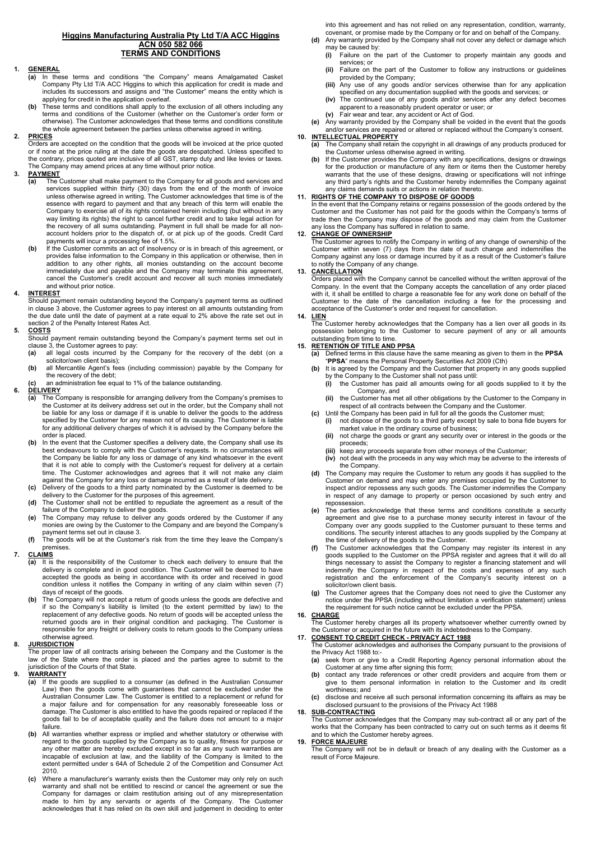#### **Higgins Manufacturing Australia Pty Ltd T/A ACC Higgins ACN 050 582 066 TERMS AND CONDITIONS**

#### **1. GENERAL**

- **(a)** In these terms and conditions "the Company" means Amalgamated Casket Company Pty Ltd T/A ACC Higgins to which this application for credit is made and includes its successors and assigns and "the Customer" means the entity which is applying for credit in the application overleaf.
- **(b)** These terms and conditions shall apply to the exclusion of all others including any terms and conditions of the Customer (whether on the Customer's order form or otherwise). The Customer acknowledges that these terms and conditions constitute the whole agreement between the parties unless otherwise agreed in writing.

#### **2. PRICES**

Orders are accepted on the condition that the goods will be invoiced at the price quoted or if none at the price ruling at the date the goods are despatched. Unless specified to the contrary, prices quoted are inclusive of all GST, stamp duty and like levies or taxes. The Company may amend prices at any time without prior notice.

## **PAYMENT**<br>(a) The

- (a) The Customer shall make payment to the Company for all goods and services and<br>services supplied within thirty (30) days from the end of the month of invoice<br>unless otherwise agreed in writing. The Customer acknowledges essence with regard to payment and that any breach of this term will enable the Company to exercise all of its rights contained herein including (but without in any way limiting its rights) the right to cancel further credit and to take legal action for the recovery of all sums outstanding. Payment in full shall be made for all nonaccount holders prior to the dispatch of, or at pick up of the goods. Credit Card payments will incur a processing fee of 1.5%.
- **(b)** If the Customer commits an act of insolvency or is in breach of this agreement, or provides false information to the Company in this application or otherwise, then in addition to any other rights, all monies outstanding on the account become immediately due and payable and the Company may terminate this agreement, cancel the Customer's credit account and recover all such monies immediately and without prior notice.

#### **4. INTEREST**

Should payment remain outstanding beyond the Company's payment terms as outlined in clause 3 above, the Customer agrees to pay interest on all amounts outstanding from the due date until the date of payment at a rate equal to 2% above the rate set out in section 2 of the Penalty Interest Rates Act.

#### **5. COSTS**

Should payment remain outstanding beyond the Company's payment terms set out in clause 3, the Customer agrees to pay  $(a)$  all legal costs incurred by the

- all legal costs incurred by the Company for the recovery of the debt (on a solicitor/own client basis);
- **(b)** all Mercantile Agent's fees (including commission) payable by the Company for the recovery of the debt;
- **(c)** an administration fee equal to 1% of the balance outstanding.

## **6. DELIVERY**

- **(a)** The Company is responsible for arranging delivery from the Company's premises to the Customer at its delivery address set out in the order, but the Company shall not be liable for any loss or damage if it is unable to deliver the goods to the address specified by the Customer for any reason not of its causing. The Customer is liable for any additional delivery charges of which it is advised by the Company before the order is placed.
- In the event that the Customer specifies a delivery date, the Company shall use its best endeavours to comply with the Customer's requests. In no circumstances will the Company be liable for any loss or damage of any kind whatsoever in the event that it is not able to comply with the Customer's request for delivery at a certain time. The Customer acknowledges and agrees that it will not make any claim against the Company for any loss or damage incurred as a result of late delivery.
- **(c)** Delivery of the goods to a third party nominated by the Customer is deemed to be delivery to the Customer for the purposes of this agreement. **(d)** The Customer shall not be entitled to repudiate the agreement as a result of the
- failure of the Company to deliver the goods.
- **(e)** The Company may refuse to deliver any goods ordered by the Customer if any monies are owing by the Customer to the Company and are beyond the Company's payment terms set out in clause 3.
- **(f)** The goods will be at the Customer's risk from the time they leave the Company's premises.

## **7. CLAIMS**

- **(a)** It is the responsibility of the Customer to check each delivery to ensure that the delivery is complete and in good condition. The Customer will be deemed to have accepted the goods as being in accordance with its order and received in good condition unless it notifies the Company in writing of any claim within seven (7) days of receipt of the goods.
- The Company will not accept a return of goods unless the goods are defective and if so the Company's liability is limited (to the extent permitted by law) to the<br>replacement of any defective goods. No return of goods will be accepted unless the<br>returned goods are in their original condition and packagi responsible for any freight or delivery costs to return goods to the Company unless otherwise agreed.

#### **8. JURISDICTION**

The proper law of all contracts arising between the Company and the Customer is the law of the State where the order is placed and the parties agree to submit to the jurisdiction of the Courts of that State.

#### **9. WARRANTY**

- **(a)** If the goods are supplied to a consumer (as defined in the Australian Consumer Law) then the goods come with guarantees that cannot be excluded under the Australian Consumer Law. The Customer is entitled to a replacement or refund for a major failure and for compensation for any reasonably foreseeable loss or damage. The Customer is also entitled to have the goods repaired or replaced if the goods fail to be of acceptable quality and the failure does not amount to a major failure.
- **(b)** All warranties whether express or implied and whether statutory or otherwise with regard to the goods supplied by the Company as to quality, fitness for purpose or any other matter are hereby excluded except in so far as any such warranties are incapable of exclusion at law, and the liability of the Company is limited to the extent permitted under s 64A of Schedule 2 of the Competition and Consumer Act 2010.
- **(c)** Where a manufacturer's warranty exists then the Customer may only rely on such warranty and shall not be entitled to rescind or cancel the agreement or sue the Company for damages or claim restitution arising out of any misrepresentation made to him by any servants or agents of the Company. The Customer acknowledges that it has relied on its own skill and judgement in deciding to enter

into this agreement and has not relied on any representation, condition, warranty, covenant, or promise made by the Company or for and on behalf of the Company.

- **(d)** Any warranty provided by the Company shall not cover any defect or damage which may be caused by:
	- **(i)** Failure on the part of the Customer to properly maintain any goods and services; or
	- **(ii)** Failure on the part of the Customer to follow any instructions or guidelines provided by the Company; **(iii)** Any use of any goods and/or services otherwise than for any application
	- specified on any documentation supplied with the goods and services; or
	- **(iv)** The continued use of any goods and/or services after any defect becomes apparent to a reasonably prudent operator or user; or
	- **(v)** Fair wear and tear, any accident or Act of God.

**(e)** Any warranty provided by the Company shall be voided in the event that the goods and/or services are repaired or altered or replaced without the Company's consent.

#### **10. INTELLECTUAL PROPERTY (a)** The Company shall retain the copyright in all drawings of any products produced for the Customer unless otherwise agreed in writing.

**(b)** If the Customer provides the Company with any specifications, designs or drawings for the production or manufacture of any item or items then the Customer hereby warrants that the use of these designs, drawing or specifications will not infringe any third party's rights and the Customer hereby indemnifies the Company against any claims demands suits or actions in relation thereto.

#### **11. RIGHTS OF THE COMPANY TO DISPOSE OF GOODS**

In the event that the Company retains or regains possession of the goods ordered by the Customer and the Customer has not paid for the goods within the Company's terms of trade then the Company may dispose of the goods and may claim from the Customer any loss the Company has suffered in relation to same.

#### **12. CHANGE OF OWNERSHIP**

The Customer agrees to notify the Company in writing of any change of ownership of the Customer within seven (7) days from the date of such change and indemnifies the Company against any loss or damage incurred by it as a result of the Customer's failure to notify the Company of any change.

#### **13. CANCELLATION**

Orders placed with the Company cannot be cancelled without the written approval of the Company. In the event that the Company accepts the cancellation of any order placed with it, it shall be entitled to charge a reasonable fee for any work done on behalf of the Customer to the date of the cancellation including a fee for the processing and acceptance of the Customer's order and request for cancellation.

### **14. LIEN**

<u>------</u><br>The Customer hereby acknowledges that the Company has a lien over all goods in its possession belonging to the Customer to secure payment of any or all amounts outstanding from time to time.

- **15. RETENTION OF TITLE AND PPSA (a)** Defined terms in this clause have the same meaning as given to them in the **PPSA**
	- "**PPSA**" means the Personal Property Securities Act 2009 (Cth) **(b)** It is agreed by the Company and the Customer that property in any goods supplied by the Company to the Customer shall not pass until:<br>(i) the Customer shall not pass until:<br>(i) the Customer has paid all amounts owing for
		- **(i)** the Customer has paid all amounts owing for all goods supplied to it by the Company, and
		- **(ii)** the Customer has met all other obligations by the Customer to the Company in respect of all contracts between the Company and the Customer.
	- **(c)** Until the Company has been paid in full for all the goods the Customer must;
		- **(i)** not dispose of the goods to a third party except by sale to bona fide buyers for market value in the ordinary course of business; **(ii)** not charge the goods or grant any security over or interest in the goods or the
		- proceeds;
		- **(iii)** keep any proceeds separate from other moneys of the Customer; **(iv)** not deal with the proceeds in any way which may be adverse to the
		- **(iv)** not deal with the proceeds in any way which may be adverse to the interests of the Company.
	- **(d)** The Company may require the Customer to return any goods it has supplied to the Customer on demand and may enter any premises occupied by the Customer to inspect and/or repossess any such goods. The Customer indemnifies the Company in respect of any damage to property or person occasioned by such entry and repossession.
	- **(e)** The parties acknowledge that these terms and conditions constitute a security agreement and give rise to a purchase money security interest in favour of the Company over any goods supplied to the Customer pursuant to these terms and conditions. The security interest attaches to any goods supplied by the Company at the time of delivery of the goods to the Customer.
	- **(f)** The Customer acknowledges that the Company may register its interest in any goods supplied to the Customer on the PPSA register and agrees that it will do all things necessary to assist the Company to register a financing statement and will indemnify the Company in respect of the costs and expenses of any such registration and the enforcement of the Company's security interest on a solicitor/own client basis.
	- **(g)** The Customer agrees that the Company does not need to give the Customer any notice under the PPSA (including without limitation a verification statement) unless the requirement for such notice cannot be excluded under the PPSA.

**16. CHARGE**

<u>The Customer hereby charges all its property whatsoever whether currently owned by</u>

## the Customer or acquired in the future with its indebtedness to the Company. **17. CONSENT TO CREDIT CHECK - PRIVACY ACT 1988**

- The Customer acknowledges and authorises the Company pursuant to the provisions of the Privacy Act 1988 to:-
- **(a)** seek from or give to a Credit Reporting Agency personal information about the Customer at any time after signing this form;
- **(b)** contact any trade references or other credit providers and acquire from them or give to them personal information in relation to the Customer and its credit worthiness; and
- **(c)** disclose and receive all such personal information concerning its affairs as may be disclosed pursuant to the provisions of the Privacy Act 1988

#### **18. SUB-CONTRACTING**

The Customer acknowledges that the Company may sub-contract all or any part of the works that the Company has been contracted to carry out on such terms as it deems fit and to which the Customer hereby agrees.

#### **19. FORCE MAJEURE**

The Company will not be in default or breach of any dealing with the Customer as a result of Force Majeure.